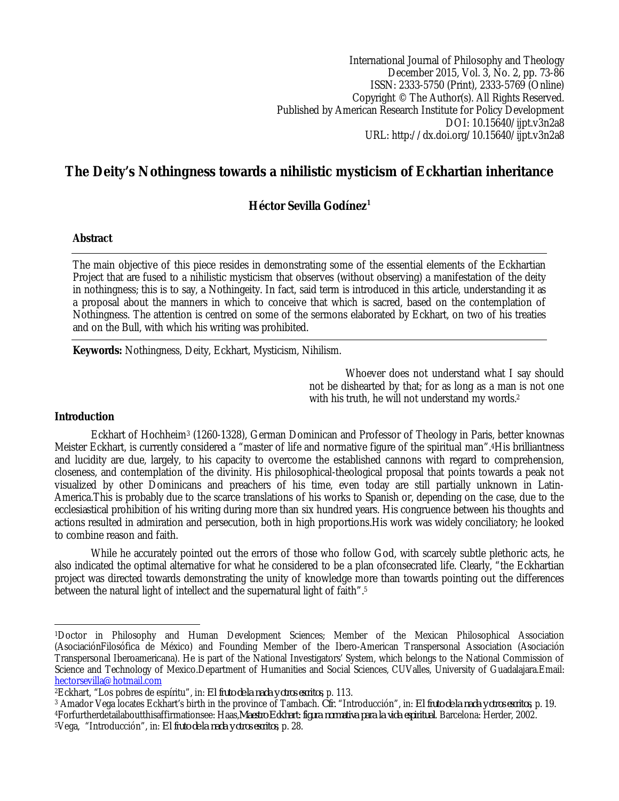International Journal of Philosophy and Theology December 2015, Vol. 3, No. 2, pp. 73-86 ISSN: 2333-5750 (Print), 2333-5769 (Online) Copyright © The Author(s). All Rights Reserved. Published by American Research Institute for Policy Development DOI: 10.15640/ijpt.v3n2a8 URL: http://dx.doi.org/10.15640/ijpt.v3n2a8

# **The Deity's Nothingness towards a nihilistic mysticism of Eckhartian inheritance**

# **Héctor Sevilla Godínez<sup>1</sup>**

## **Abstract**

The main objective of this piece resides in demonstrating some of the essential elements of the Eckhartian Project that are fused to a nihilistic mysticism that observes (without observing) a manifestation of the deity in nothingness; this is to say, a Nothingeity. In fact, said term is introduced in this article, understanding it as a proposal about the manners in which to conceive that which is sacred, based on the contemplation of Nothingness. The attention is centred on some of the sermons elaborated by Eckhart, on two of his treaties and on the Bull, with which his writing was prohibited.

**Keywords:** Nothingness, Deity, Eckhart, Mysticism, Nihilism.

Whoever does not understand what I say should not be dishearted by that; for as long as a man is not one with his truth, he will not understand my words.<sup>2</sup>

### **Introduction**

Eckhart of Hochheim<sup>3</sup> (1260-1328), German Dominican and Professor of Theology in Paris, better knownas Meister Eckhart, is currently considered a "master of life and normative figure of the spiritual man".4His brilliantness and lucidity are due, largely, to his capacity to overcome the established cannons with regard to comprehension, closeness, and contemplation of the divinity. His philosophical-theological proposal that points towards a peak not visualized by other Dominicans and preachers of his time, even today are still partially unknown in Latin-America.This is probably due to the scarce translations of his works to Spanish or, depending on the case, due to the ecclesiastical prohibition of his writing during more than six hundred years. His congruence between his thoughts and actions resulted in admiration and persecution, both in high proportions.His work was widely conciliatory; he looked to combine reason and faith.

While he accurately pointed out the errors of those who follow God, with scarcely subtle plethoric acts, he also indicated the optimal alternative for what he considered to be a plan ofconsecrated life. Clearly, "the Eckhartian project was directed towards demonstrating the unity of knowledge more than towards pointing out the differences between the natural light of intellect and the supernatural light of faith".<sup>5</sup>

 $\overline{a}$ <sup>1</sup>Doctor in Philosophy and Human Development Sciences; Member of the Mexican Philosophical Association (AsociaciónFilosófica de México) and Founding Member of the Ibero-American Transpersonal Association (Asociación Transpersonal Iberoamericana). He is part of the National Investigators' System, which belongs to the National Commission of Science and Technology of Mexico.Department of Humanities and Social Sciences, CUValles, University of Guadalajara.Email: hectorsevilla@hotmail.com

<sup>2</sup>Eckhart, "Los pobres de espíritu", in: *El fruto de la nada y otros escritos*, p. 113.

<sup>3</sup> Amador Vega locates Eckhart's birth in the province of Tambach. *Cfr.* "Introducción", in: *El fruto de la nada y otros escritos*, p. 19. <sup>4</sup>Forfurtherdetailaboutthisaffirmationsee: Haas,*Maestro Eckhart: figura normativa para la vida espiritual*. Barcelona: Herder, 2002.

<sup>5</sup>Vega, "Introducción", in: *El fruto de la nada y otros escritos*, p. 28.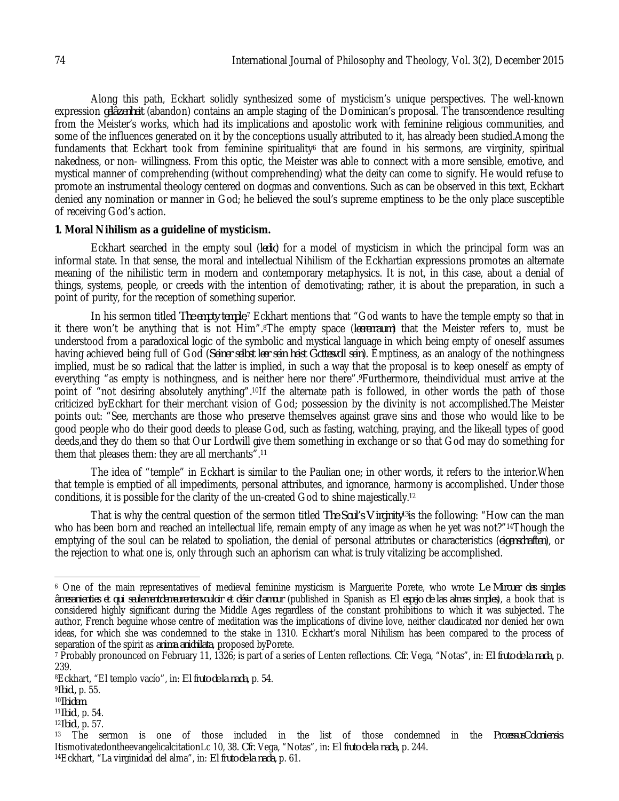Along this path, Eckhart solidly synthesized some of mysticism's unique perspectives. The well-known expression *gelâzenheit* (abandon) contains an ample staging of the Dominican's proposal. The transcendence resulting from the Meister's works, which had its implications and apostolic work with feminine religious communities, and some of the influences generated on it by the conceptions usually attributed to it, has already been studied.Among the fundaments that Eckhart took from feminine spirituality<sup>6</sup> that are found in his sermons, are virginity, spiritual nakedness, or non- willingness. From this optic, the Meister was able to connect with a more sensible, emotive, and mystical manner of comprehending (without comprehending) what the deity can come to signify. He would refuse to promote an instrumental theology centered on dogmas and conventions. Such as can be observed in this text, Eckhart denied any nomination or manner in God; he believed the soul's supreme emptiness to be the only place susceptible of receiving God's action.

### **1. Moral Nihilism as a guideline of mysticism.**

Eckhart searched in the empty soul (*ledic*) for a model of mysticism in which the principal form was an informal state. In that sense, the moral and intellectual Nihilism of the Eckhartian expressions promotes an alternate meaning of the nihilistic term in modern and contemporary metaphysics. It is not, in this case, about a denial of things, systems, people, or creeds with the intention of demotivating; rather, it is about the preparation, in such a point of purity, for the reception of something superior.

In his sermon titled *The empty temple*,<sup>7</sup> Eckhart mentions that "God wants to have the temple empty so that in it there won't be anything that is not Him".8The empty space (*leererraum*) that the Meister refers to, must be understood from a paradoxical logic of the symbolic and mystical language in which being empty of oneself assumes having achieved being full of God (*Seiner selbst leer sein heist Gottesvoll sein*). Emptiness, as an analogy of the nothingness implied, must be so radical that the latter is implied, in such a way that the proposal is to keep oneself as empty of everything "as empty is nothingness, and is neither here nor there". <sup>9</sup>Furthermore, theindividual must arrive at the point of "not desiring absolutely anything".10If the alternate path is followed, in other words the path of those criticized byEckhart for their merchant vision of God; possession by the divinity is not accomplished.The Meister points out: "See, merchants are those who preserve themselves against grave sins and those who would like to be good people who do their good deeds to please God, such as fasting, watching, praying, and the like;all types of good deeds,and they do them so that Our Lordwill give them something in exchange or so that God may do something for them that pleases them: they are all merchants". 11

The idea of "temple" in Eckhart is similar to the Paulian one; in other words, it refers to the interior.When that temple is emptied of all impediments, personal attributes, and ignorance, harmony is accomplished. Under those conditions, it is possible for the clarity of the un-created God to shine majestically.<sup>12</sup>

That is why the central question of the sermon titled *The Soul's Virginity13*is the following: "How can the man who has been born and reached an intellectual life, remain empty of any image as when he yet was not?"<sup>14</sup>Though the emptying of the soul can be related to spoliation, the denial of personal attributes or characteristics (*eigenschaften*), or the rejection to what one is, only through such an aphorism can what is truly vitalizing be accomplished.

 $\overline{a}$ <sup>6</sup> One of the main representatives of medieval feminine mysticism is Marguerite Porete, who wrote *Le Mirouer des simples âmesanienties et qui seulementdemeurentenvouloir et désir d'amour* (published in Spanish as *El espejo de las almas simples*), a book that is considered highly significant during the Middle Ages regardless of the constant prohibitions to which it was subjected. The author, French beguine whose centre of meditation was the implications of divine love, neither claudicated nor denied her own ideas, for which she was condemned to the stake in 1310. Eckhart's moral Nihilism has been compared to the process of separation of the spirit as *anima anichilata*, proposed byPorete.

<sup>7</sup> Probably pronounced on February 11, 1326; is part of a series of Lenten reflections. *Cfr.* Vega, "Notas", in: *El fruto de la nada,* p. 239.

<sup>8</sup>Eckhart, "El templo vacío", in: *El fruto de la nada,* p. 54.

<sup>9</sup>*Ibid.,* p. 55.

<sup>10</sup>*Ibidem.*

<sup>11</sup>*Ibid*., p. 54. <sup>12</sup>*Ibid*., p. 57.

<sup>13</sup> The sermon is one of those included in the list of those condemned in the *ProcessusColoniensis*. ItismotivatedontheevangelicalcitationLc 10, 38. *Cfr.* Vega, "Notas", in: *El fruto de la nada,* p. 244. 14Eckhart, "La virginidad del alma", in: *El fruto de la nada,* p. 61.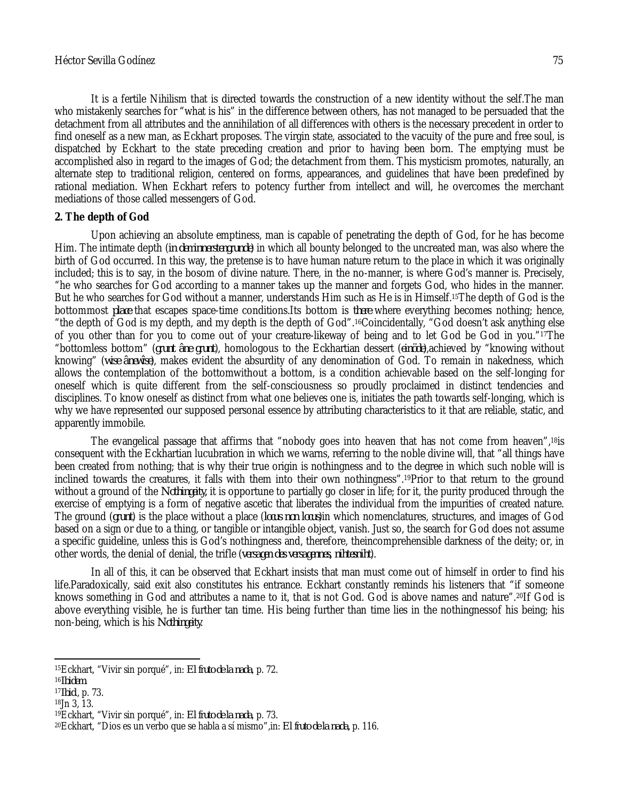It is a fertile Nihilism that is directed towards the construction of a new identity without the self.The man who mistakenly searches for "what is his" in the difference between others, has not managed to be persuaded that the detachment from all attributes and the annihilation of all differences with others is the necessary precedent in order to find oneself as a new man, as Eckhart proposes. The virgin state, associated to the vacuity of the pure and free soul, is dispatched by Eckhart to the state preceding creation and prior to having been born. The emptying must be accomplished also in regard to the images of God; the detachment from them. This mysticism promotes, naturally, an alternate step to traditional religion, centered on forms, appearances, and guidelines that have been predefined by rational mediation. When Eckhart refers to potency further from intellect and will, he overcomes the merchant mediations of those called messengers of God.

### **2. The depth of God**

Upon achieving an absolute emptiness, man is capable of penetrating the depth of God, for he has become Him. The intimate depth (*in deminnerstengrunde*) in which all bounty belonged to the uncreated man, was also where the birth of God occurred. In this way, the pretense is to have human nature return to the place in which it was originally included; this is to say, in the bosom of divine nature. There, in the no-manner, is where God's manner is. Precisely, "he who searches for God according to a manner takes up the manner and forgets God, who hides in the manner. But he who searches for God without a manner, understands Him such as He is in Himself.15The depth of God is the bottommost *place* that escapes space-time conditions.Its bottom is *there* where everything becomes nothing; hence, "the depth of God is my depth, and my depth is the depth of God".16Coincidentally, "God doesn't ask anything else of you other than for you to come out of your creature-likeway of being and to let God be God in you."17The "bottomless bottom" (*grunt âne grunt*), homologous to the Eckhartian dessert (*einöde*),achieved by "knowing without knowing" (*wise ânewîse*), makes evident the absurdity of any denomination of God. To remain in nakedness, which allows the contemplation of the bottomwithout a bottom, is a condition achievable based on the self-longing for oneself which is quite different from the self-consciousness so proudly proclaimed in distinct tendencies and disciplines. To know oneself as distinct from what one believes one is, initiates the path towards self-longing, which is why we have represented our supposed personal essence by attributing characteristics to it that are reliable, static, and apparently immobile.

The evangelical passage that affirms that "nobody goes into heaven that has not come from heaven",18is consequent with the Eckhartian lucubration in which we warns, referring to the noble divine will, that "all things have been created from nothing; that is why their true origin is nothingness and to the degree in which such noble will is inclined towards the creatures, it falls with them into their own nothingness".19Prior to that return to the ground without a ground of the *Nothingeity,* it is opportune to partially go closer in life; for it, the purity produced through the exercise of emptying is a form of negative ascetic that liberates the individual from the impurities of created nature. The ground (*grunt*) is the place without a place (*locus non locus*)in which nomenclatures, structures, and images of God based on a sign or due to a thing, or tangible or intangible object, vanish. Just so, the search for God does not assume a specific guideline, unless this is God's nothingness and, therefore, theincomprehensible darkness of the deity; or, in other words, the denial of denial, the trifle (*versagen des versagennes, nihtesniht*).

In all of this, it can be observed that Eckhart insists that man must come out of himself in order to find his life.Paradoxically, said exit also constitutes his entrance. Eckhart constantly reminds his listeners that "if someone knows something in God and attributes a name to it, that is not God. God is above names and nature".20If God is above everything visible, he is further tan time. His being further than time lies in the nothingnessof his being; his non-being, which is his *Nothingeity*.

<sup>15</sup>Eckhart, "Vivir sin porqué", in: *El fruto de la nada*, p. 72.

<sup>16</sup>*Ibidem.*

<sup>17</sup>*Ibid*., p. 73.

<sup>18</sup>Jn 3, 13.

<sup>19</sup>Eckhart, "Vivir sin porqué", in: *El fruto de la nada*, p. 73.

<sup>20</sup>Eckhart, "Dios es un verbo que se habla a sí mismo",in: *El fruto de la nada,* p. 116.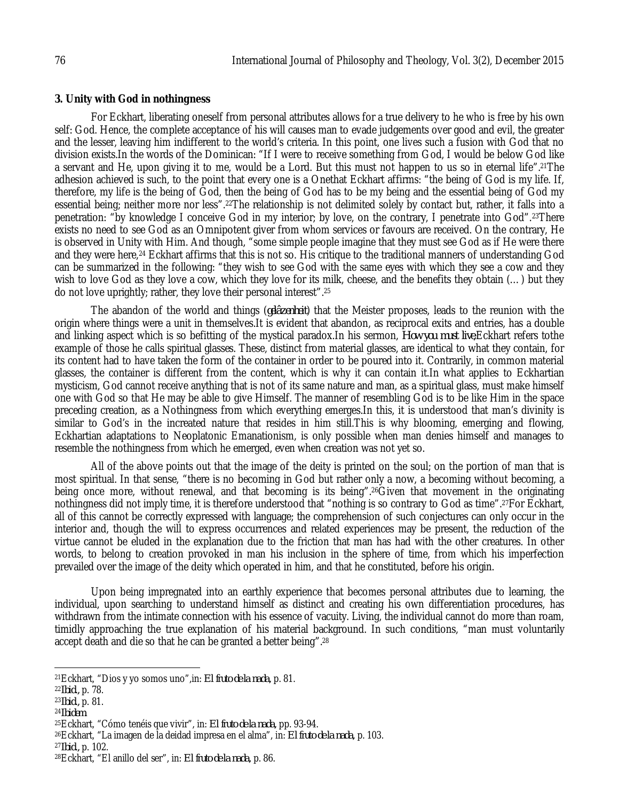### **3. Unity with God in nothingness**

For Eckhart, liberating oneself from personal attributes allows for a true delivery to he who is free by his own self: God. Hence, the complete acceptance of his will causes man to evade judgements over good and evil, the greater and the lesser, leaving him indifferent to the world's criteria. In this point, one lives such a fusion with God that no division exists.In the words of the Dominican: "If I were to receive something from God, I would be below God like a servant and He, upon giving it to me, would be a Lord. But this must not happen to us so in eternal life".21The adhesion achieved is such, to the point that every one is a Onethat Eckhart affirms: "the being of God is my life. If, therefore, my life is the being of God, then the being of God has to be my being and the essential being of God my essential being; neither more nor less".22The relationship is not delimited solely by contact but, rather, it falls into a penetration: "by knowledge I conceive God in my interior; by love, on the contrary, I penetrate into God".23There exists no need to see God as an Omnipotent giver from whom services or favours are received. On the contrary, He is observed in Unity with Him. And though, "some simple people imagine that they must see God as if He were there and they were here,<sup>24</sup> Eckhart affirms that this is not so. His critique to the traditional manners of understanding God can be summarized in the following: "they wish to see God with the same eyes with which they see a cow and they wish to love God as they love a cow, which they love for its milk, cheese, and the benefits they obtain (…) but they do not love uprightly; rather, they love their personal interest".<sup>25</sup>

The abandon of the world and things (*gelâzenheit*) that the Meister proposes, leads to the reunion with the origin where things were a unit in themselves.It is evident that abandon, as reciprocal exits and entries, has a double and linking aspect which is so befitting of the mystical paradox.In his sermon, *How you must live*,Eckhart refers tothe example of those he calls spiritual glasses. These, distinct from material glasses, are identical to what they contain, for its content had to have taken the form of the container in order to be poured into it. Contrarily, in common material glasses, the container is different from the content, which is why it can contain it.In what applies to Eckhartian mysticism, God cannot receive anything that is not of its same nature and man, as a spiritual glass, must make himself one with God so that He may be able to give Himself. The manner of resembling God is to be like Him in the space preceding creation, as a Nothingness from which everything emerges.In this, it is understood that man's divinity is similar to God's in the increated nature that resides in him still.This is why blooming, emerging and flowing, Eckhartian adaptations to Neoplatonic Emanationism, is only possible when man denies himself and manages to resemble the nothingness from which he emerged, even when creation was not yet so.

All of the above points out that the image of the deity is printed on the soul; on the portion of man that is most spiritual. In that sense, "there is no becoming in God but rather only a now, a becoming without becoming, a being once more, without renewal, and that becoming is its being".26Given that movement in the originating nothingness did not imply time, it is therefore understood that "nothing is so contrary to God as time".27For Eckhart, all of this cannot be correctly expressed with language; the comprehension of such conjectures can only occur in the interior and, though the will to express occurrences and related experiences may be present, the reduction of the virtue cannot be eluded in the explanation due to the friction that man has had with the other creatures. In other words, to belong to creation provoked in man his inclusion in the sphere of time, from which his imperfection prevailed over the image of the deity which operated in him, and that he constituted, before his origin.

Upon being impregnated into an earthly experience that becomes personal attributes due to learning, the individual, upon searching to understand himself as distinct and creating his own differentiation procedures, has withdrawn from the intimate connection with his essence of vacuity. Living, the individual cannot do more than roam, timidly approaching the true explanation of his material background. In such conditions, "man must voluntarily accept death and die so that he can be granted a better being".<sup>28</sup>

<sup>23</sup>*Ibid.,* p. 81.

 $\overline{a}$ <sup>21</sup>Eckhart, "Dios y yo somos uno",in: *El fruto de la nada,* p. 81.

<sup>22</sup>*Ibid.,* p. 78.

<sup>24</sup>*Ibidem.*

<sup>25</sup>Eckhart, "Cómo tenéis que vivir", in: *El fruto de la nada,* pp. 93-94.

<sup>26</sup>Eckhart, "La imagen de la deidad impresa en el alma", in: *El fruto de la nada,* p. 103.

<sup>27</sup>*Ibid.,* p. 102.

<sup>28</sup>Eckhart, "El anillo del ser", in: *El fruto de la nada,* p. 86.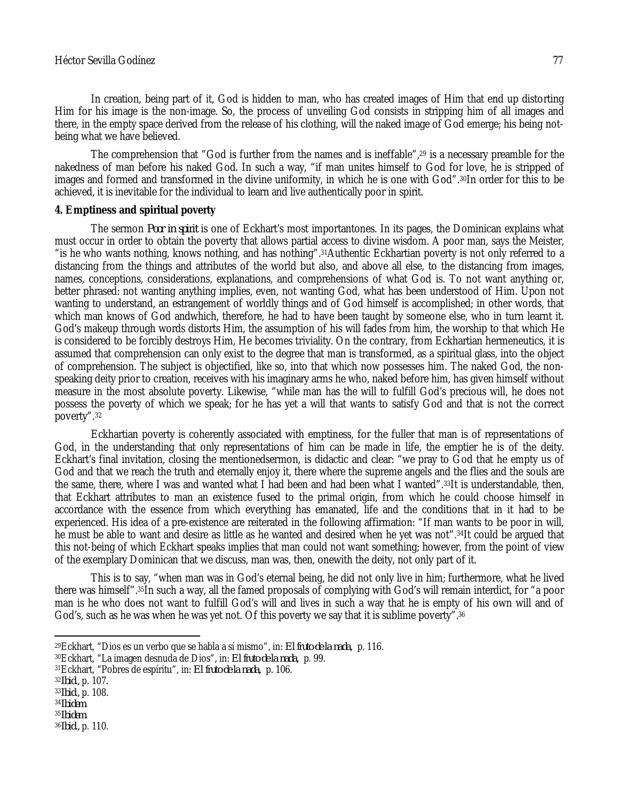In creation, being part of it, God is hidden to man, who has created images of Him that end up distorting Him for his image is the non-image. So, the process of unveiling God consists in stripping him of all images and there, in the empty space derived from the release of his clothing, will the naked image of God emerge; his being notbeing what we have believed.

The comprehension that "God is further from the names and is ineffable",<sup>29</sup> is a necessary preamble for the nakedness of man before his naked God. In such a way, "if man unites himself to God for love, he is stripped of images and formed and transformed in the divine uniformity, in which he is one with God".30In order for this to be achieved, it is inevitable for the individual to learn and live authentically poor in spirit.

#### **4. Emptiness and spiritual poverty**

The sermon *Poor in spirit* is one of Eckhart's most importantones. In its pages, the Dominican explains what must occur in order to obtain the poverty that allows partial access to divine wisdom. A poor man, says the Meister, "is he who wants nothing, knows nothing, and has nothing".31Authentic Eckhartian poverty is not only referred to a distancing from the things and attributes of the world but also, and above all else, to the distancing from images, names, conceptions, considerations, explanations, and comprehensions of what God is. To not want anything or, better phrased: not wanting anything implies, even, not wanting God, what has been understood of Him. Upon not wanting to understand, an estrangement of worldly things and of God himself is accomplished; in other words, that which man knows of God andwhich, therefore, he had to have been taught by someone else, who in turn learnt it. God's makeup through words distorts Him, the assumption of his will fades from him, the worship to that which He is considered to be forcibly destroys Him, He becomes triviality. On the contrary, from Eckhartian hermeneutics, it is assumed that comprehension can only exist to the degree that man is transformed, as a spiritual glass, into the object of comprehension. The subject is objectified, like so, into that which now possesses him. The naked God, the nonspeaking deity prior to creation, receives with his imaginary arms he who, naked before him, has given himself without measure in the most absolute poverty. Likewise, "while man has the will to fulfill God's precious will, he does not possess the poverty of which we speak; for he has yet a will that wants to satisfy God and that is not the correct poverty".<sup>32</sup>

Eckhartian poverty is coherently associated with emptiness, for the fuller that man is of representations of God, in the understanding that only representations of him can be made in life, the emptier he is of the deity. Eckhart's final invitation, closing the mentionedsermon, is didactic and clear: "we pray to God that he empty us of God and that we reach the truth and eternally enjoy it, there where the supreme angels and the flies and the souls are the same, there, where I was and wanted what I had been and had been what I wanted".<sup>33</sup>It is understandable, then, that Eckhart attributes to man an existence fused to the primal origin, from which he could choose himself in accordance with the essence from which everything has emanated, life and the conditions that in it had to be experienced. His idea of a pre-existence are reiterated in the following affirmation: "If man wants to be poor in will, he must be able to want and desire as little as he wanted and desired when he yet was not".34It could be argued that this not-being of which Eckhart speaks implies that man could not want something; however, from the point of view of the exemplary Dominican that we discuss, man was, then, onewith the deity, not only part of it.

This is to say, "when man was in God's eternal being, he did not only live in him; furthermore, what he lived there was himself".35In such a way, all the famed proposals of complying with God's will remain interdict, for "a poor man is he who does not want to fulfill God's will and lives in such a way that he is empty of his own will and of God's, such as he was when he was yet not. Of this poverty we say that it is sublime poverty".<sup>36</sup>

<sup>29</sup>Eckhart, "Dios es un verbo que se habla a sí mismo", in: *El fruto de la nada,* p. 116.

<sup>30</sup>Eckhart, "La imagen desnuda de Dios", in: *El fruto de la nada,* p. 99.

<sup>31</sup>Eckhart, "Pobres de espíritu", in: *El fruto de la nada,* p. 106.

<sup>32</sup>*Ibid.,* p. 107.

<sup>33</sup>*Ibid.,* p. 108.

<sup>34</sup>*Ibidem.*

<sup>35</sup>*Ibidem.*

<sup>36</sup>*Ibid.,* p. 110.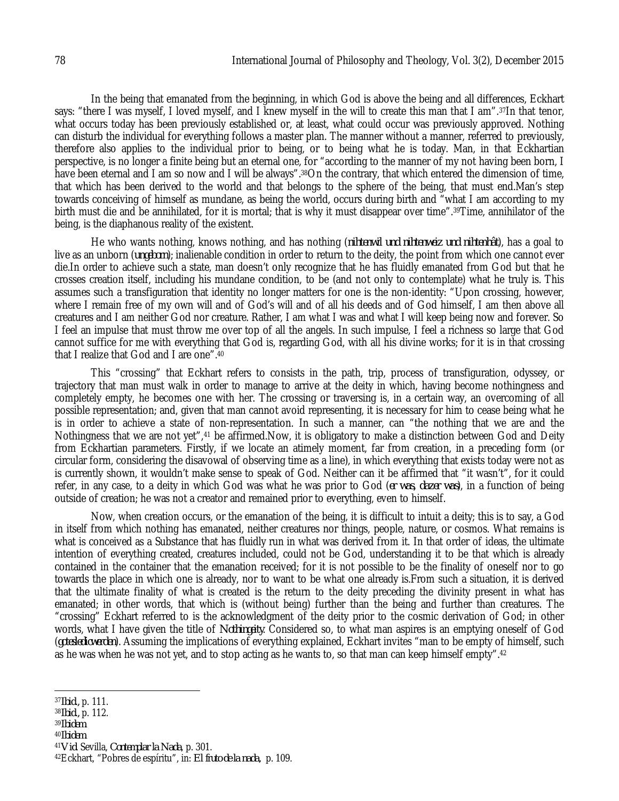In the being that emanated from the beginning, in which God is above the being and all differences, Eckhart says: "there I was myself, I loved myself, and I knew myself in the will to create this man that I am".<sup>37</sup>In that tenor, what occurs today has been previously established or, at least, what could occur was previously approved. Nothing can disturb the individual for everything follows a master plan. The manner without a manner, referred to previously, therefore also applies to the individual prior to being, or to being what he is today. Man, in that Eckhartian perspective, is no longer a finite being but an eternal one, for "according to the manner of my not having been born, I have been eternal and I am so now and I will be always".<sup>38</sup>On the contrary, that which entered the dimension of time, that which has been derived to the world and that belongs to the sphere of the being, that must end.Man's step towards conceiving of himself as mundane, as being the world, occurs during birth and "what I am according to my birth must die and be annihilated, for it is mortal; that is why it must disappear over time".39Time, annihilator of the being, is the diaphanous reality of the existent.

He who wants nothing, knows nothing, and has nothing (*nihtenwil und nihtenweiz und nihtenhât*), has a goal to live as an unborn (*ungeborn*); inalienable condition in order to return to the deity, the point from which one cannot ever die.In order to achieve such a state, man doesn't only recognize that he has fluidly emanated from God but that he crosses creation itself, including his mundane condition, to be (and not only to contemplate) what he truly is. This assumes such a transfiguration that identity no longer matters for one is the non-identity: "Upon crossing, however, where I remain free of my own will and of God's will and of all his deeds and of God himself, I am then above all creatures and I am neither God nor creature. Rather, I am what I was and what I will keep being now and forever. So I feel an impulse that must throw me over top of all the angels. In such impulse, I feel a richness so large that God cannot suffice for me with everything that God is, regarding God, with all his divine works; for it is in that crossing that I realize that God and I are one". 40

This "crossing" that Eckhart refers to consists in the path, trip, process of transfiguration, odyssey, or trajectory that man must walk in order to manage to arrive at the deity in which, having become nothingness and completely empty, he becomes one with her. The crossing or traversing is, in a certain way, an overcoming of all possible representation; and, given that man cannot avoid representing, it is necessary for him to cease being what he is in order to achieve a state of non-representation. In such a manner, can "the nothing that we are and the Nothingness that we are not yet",<sup>41</sup> be affirmed.Now, it is obligatory to make a distinction between God and Deity from Eckhartian parameters. Firstly, if we locate an atimely moment, far from creation, in a preceding form (or circular form, considering the disavowal of observing time as a line), in which everything that exists today were not as is currently shown, it wouldn't make sense to speak of God. Neither can it be affirmed that "it wasn't", for it could refer, in any case, to a deity in which God was what he was prior to God (*er was, dazer was*), in a function of being outside of creation; he was not a creator and remained prior to everything, even to himself.

Now, when creation occurs, or the emanation of the being, it is difficult to intuit a deity; this is to say, a God in itself from which nothing has emanated, neither creatures nor things, people, nature, or cosmos. What remains is what is conceived as a Substance that has fluidly run in what was derived from it. In that order of ideas, the ultimate intention of everything created, creatures included, could not be God, understanding it to be that which is already contained in the container that the emanation received; for it is not possible to be the finality of oneself nor to go towards the place in which one is already, nor to want to be what one already is.From such a situation, it is derived that the ultimate finality of what is created is the return to the deity preceding the divinity present in what has emanated; in other words, that which is (without being) further than the being and further than creatures. The "crossing" Eckhart referred to is the acknowledgment of the deity prior to the cosmic derivation of God; in other words, what I have given the title of *Nothingeity*. Considered so, to what man aspires is an emptying oneself of God (*gotesledicwerden*). Assuming the implications of everything explained, Eckhart invites "man to be empty of himself, such as he was when he was not yet, and to stop acting as he wants to, so that man can keep himself empty". 42

- <sup>38</sup>*Ibid.,* p. 112.
- <sup>39</sup>*Ibidem.*

 $\overline{a}$ 

<sup>40</sup>*Ibidem.*

<sup>37</sup>*Ibid.,* p. 111.

<sup>41</sup>*Vid*. Sevilla, *Contemplar la Nada*, p. 301.

<sup>42</sup>Eckhart, "Pobres de espíritu", in: *El fruto de la nada,* p. 109.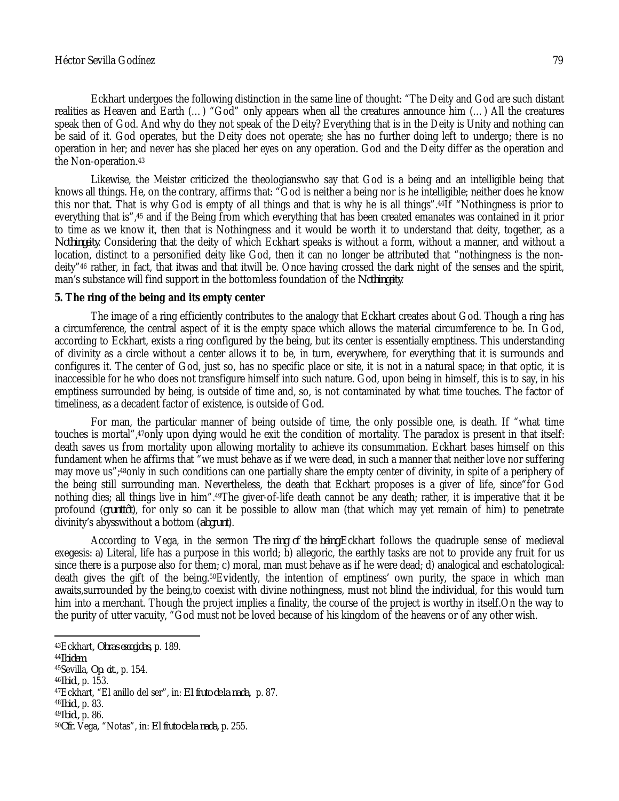Eckhart undergoes the following distinction in the same line of thought: "The Deity and God are such distant realities as Heaven and Earth (…) "God" only appears when all the creatures announce him (…) All the creatures speak then of God. And why do they not speak of the Deity? Everything that is in the Deity is Unity and nothing can be said of it. God operates, but the Deity does not operate; she has no further doing left to undergo; there is no operation in her; and never has she placed her eyes on any operation. God and the Deity differ as the operation and the Non-operation.<sup>43</sup>

Likewise, the Meister criticized the theologianswho say that God is a being and an intelligible being that knows all things. He, on the contrary, affirms that: "God is neither a being nor is he intelligible; neither does he know this nor that. That is why God is empty of all things and that is why he is all things".44If "Nothingness is prior to everything that is", <sup>45</sup> and if the Being from which everything that has been created emanates was contained in it prior to time as we know it, then that is Nothingness and it would be worth it to understand that deity, together, as a *Nothingeity*. Considering that the deity of which Eckhart speaks is without a form, without a manner, and without a location, distinct to a personified deity like God, then it can no longer be attributed that "nothingness is the nondeity"<sup>46</sup> rather, in fact, that itwas and that itwill be. Once having crossed the dark night of the senses and the spirit, man's substance will find support in the bottomless foundation of the *Nothingeity*.

#### **5. The ring of the being and its empty center**

The image of a ring efficiently contributes to the analogy that Eckhart creates about God. Though a ring has a circumference, the central aspect of it is the empty space which allows the material circumference to be. In God, according to Eckhart, exists a ring configured by the being, but its center is essentially emptiness. This understanding of divinity as a circle without a center allows it to be, in turn, everywhere, for everything that it is surrounds and configures it. The center of God, just so, has no specific place or site, it is not in a natural space; in that optic, it is inaccessible for he who does not transfigure himself into such nature. God, upon being in himself, this is to say, in his emptiness surrounded by being, is outside of time and, so, is not contaminated by what time touches. The factor of timeliness, as a decadent factor of existence, is outside of God.

For man, the particular manner of being outside of time, the only possible one, is death. If "what time touches is mortal",47only upon dying would he exit the condition of mortality. The paradox is present in that itself: death saves us from mortality upon allowing mortality to achieve its consummation. Eckhart bases himself on this fundament when he affirms that "we must behave as if we were dead, in such a manner that neither love nor suffering may move us";48only in such conditions can one partially share the empty center of divinity, in spite of a periphery of the being still surrounding man. Nevertheless, the death that Eckhart proposes is a giver of life, since"for God nothing dies; all things live in him".49The giver-of-life death cannot be any death; rather, it is imperative that it be profound (*grunttôt*), for only so can it be possible to allow man (that which may yet remain of him) to penetrate divinity's abysswithout a bottom (*abgrunt*).

According to Vega, in the sermon *The ring of the being*,Eckhart follows the quadruple sense of medieval exegesis: a) Literal, life has a purpose in this world; b) allegoric, the earthly tasks are not to provide any fruit for us since there is a purpose also for them; c) moral, man must behave as if he were dead; d) analogical and eschatological: death gives the gift of the being.50Evidently, the intention of emptiness' own purity, the space in which man awaits,surrounded by the being,to coexist with divine nothingness, must not blind the individual, for this would turn him into a merchant. Though the project implies a finality, the course of the project is worthy in itself.On the way to the purity of utter vacuity, "God must not be loved because of his kingdom of the heavens or of any other wish.

<sup>43</sup>Eckhart*, Obras escogidas,* p. 189.

<sup>44</sup>*Ibidem.*

<sup>45</sup>Sevilla, *Op. cit.,* p. 154.

<sup>46</sup>*Ibid.,* p. 153.

<sup>47</sup>Eckhart, "El anillo del ser", in: *El fruto de la nada,* p. 87.

<sup>48</sup>*Ibid.,* p. 83.

<sup>49</sup>*Ibid.,* p. 86.

<sup>50</sup>*Cfr.* Vega, "Notas", in: *El fruto de la nada,* p. 255.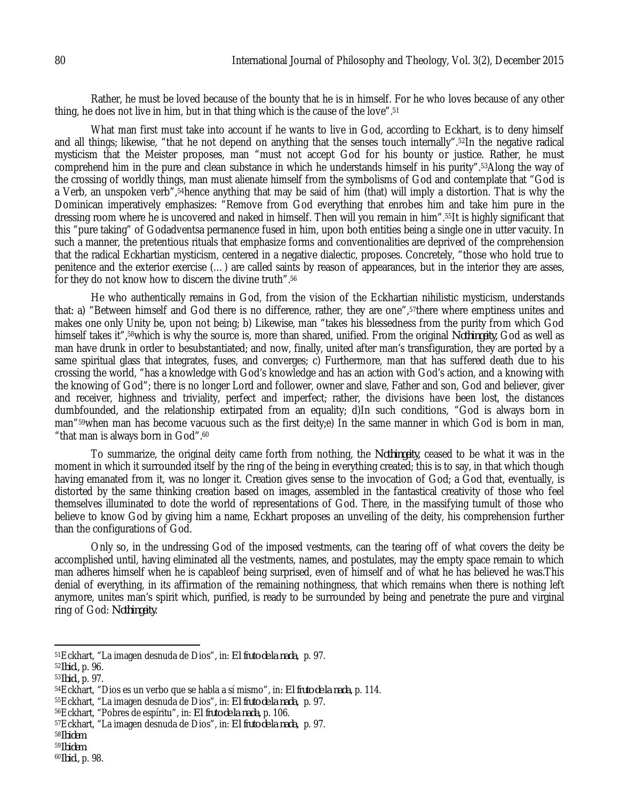Rather, he must be loved because of the bounty that he is in himself. For he who loves because of any other thing, he does not live in him, but in that thing which is the cause of the love".<sup>51</sup>

What man first must take into account if he wants to live in God, according to Eckhart, is to deny himself and all things; likewise, "that he not depend on anything that the senses touch internally".52In the negative radical mysticism that the Meister proposes, man "must not accept God for his bounty or justice. Rather, he must comprehend him in the pure and clean substance in which he understands himself in his purity".53Along the way of the crossing of worldly things, man must alienate himself from the symbolisms of God and contemplate that "God is a Verb, an unspoken verb",54hence anything that may be said of him (that) will imply a distortion. That is why the Dominican imperatively emphasizes: "Remove from God everything that enrobes him and take him pure in the dressing room where he is uncovered and naked in himself. Then will you remain in him".55It is highly significant that this "pure taking" of Godadventsa permanence fused in him, upon both entities being a single one in utter vacuity. In such a manner, the pretentious rituals that emphasize forms and conventionalities are deprived of the comprehension that the radical Eckhartian mysticism, centered in a negative dialectic, proposes. Concretely, "those who hold true to penitence and the exterior exercise (…) are called saints by reason of appearances, but in the interior they are asses, for they do not know how to discern the divine truth".<sup>56</sup>

He who authentically remains in God, from the vision of the Eckhartian nihilistic mysticism, understands that: a) "Between himself and God there is no difference, rather, they are one",57there where emptiness unites and makes one only Unity be, upon not being; b) Likewise, man "takes his blessedness from the purity from which God himself takes it",58which is why the source is, more than shared, unified. From the original *Nothingeity,* God as well as man have drunk in order to besubstantiated; and now, finally, united after man's transfiguration, they are ported by a same spiritual glass that integrates, fuses, and converges; c) Furthermore, man that has suffered death due to his crossing the world, "has a knowledge with God's knowledge and has an action with God's action, and a knowing with the knowing of God"; there is no longer Lord and follower, owner and slave, Father and son, God and believer, giver and receiver, highness and triviality, perfect and imperfect; rather, the divisions have been lost, the distances dumbfounded, and the relationship extirpated from an equality; d)In such conditions, "God is always born in man"59when man has become vacuous such as the first deity;e) In the same manner in which God is born in man, "that man is always born in God".<sup>60</sup>

To summarize, the original deity came forth from nothing, the *Nothingeity,* ceased to be what it was in the moment in which it surrounded itself by the ring of the being in everything created; this is to say, in that which though having emanated from it, was no longer it. Creation gives sense to the invocation of God; a God that, eventually, is distorted by the same thinking creation based on images, assembled in the fantastical creativity of those who feel themselves illuminated to dote the world of representations of God. There, in the massifying tumult of those who believe to know God by giving him a name, Eckhart proposes an unveiling of the deity, his comprehension further than the configurations of God.

Only so, in the undressing God of the imposed vestments, can the tearing off of what covers the deity be accomplished until, having eliminated all the vestments, names, and postulates, may the empty space remain to which man adheres himself when he is capableof being surprised, even of himself and of what he has believed he was.This denial of everything, in its affirmation of the remaining nothingness, that which remains when there is nothing left anymore, unites man's spirit which, purified, is ready to be surrounded by being and penetrate the pure and virginal ring of God: *Nothingeity*.

 $\overline{\phantom{a}}$ 

<sup>51</sup>Eckhart, "La imagen desnuda de Dios", in: *El fruto de la nada,* p. 97.

<sup>52</sup>*Ibid.,* p. 96.

<sup>53</sup>*Ibid.,* p. 97.

<sup>54</sup>Eckhart, "Dios es un verbo que se habla a sí mismo", in: *El fruto de la nada,* p. 114.

<sup>55</sup>Eckhart, "La imagen desnuda de Dios", in: *El fruto de la nada,* p. 97.

<sup>56</sup>Eckhart, "Pobres de espíritu", in: *El fruto de la nada,* p. 106.

<sup>57</sup>Eckhart, "La imagen desnuda de Dios", in: *El fruto de la nada,* p. 97.

<sup>58</sup>*Ibidem.*

<sup>59</sup>*Ibidem.*

<sup>60</sup>*Ibid.,* p. 98.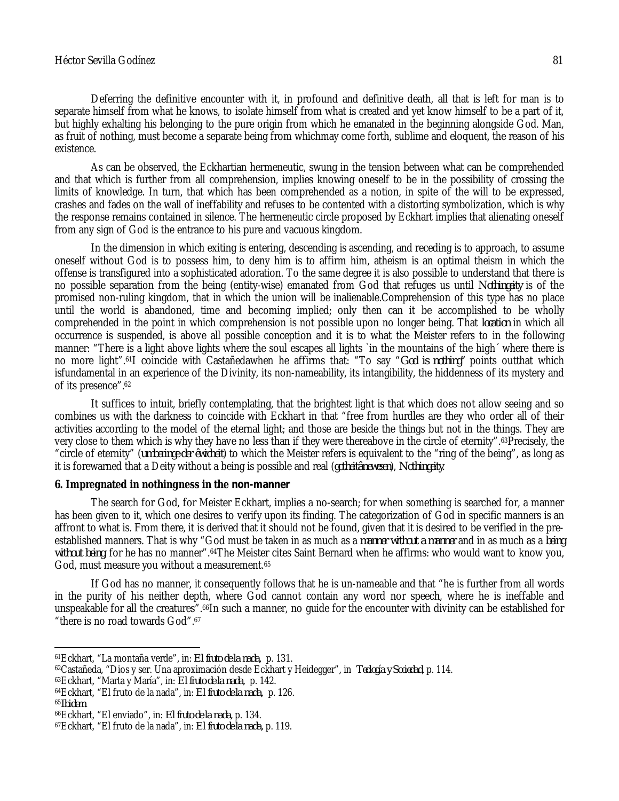Deferring the definitive encounter with it, in profound and definitive death, all that is left for man is to separate himself from what he knows, to isolate himself from what is created and yet know himself to be a part of it, but highly exhalting his belonging to the pure origin from which he emanated in the beginning alongside God. Man, as fruit of nothing, must become a separate being from whichmay come forth, sublime and eloquent, the reason of his existence.

As can be observed, the Eckhartian hermeneutic, swung in the tension between what can be comprehended and that which is further from all comprehension, implies knowing oneself to be in the possibility of crossing the limits of knowledge. In turn, that which has been comprehended as a notion, in spite of the will to be expressed, crashes and fades on the wall of ineffability and refuses to be contented with a distorting symbolization, which is why the response remains contained in silence. The hermeneutic circle proposed by Eckhart implies that alienating oneself from any sign of God is the entrance to his pure and vacuous kingdom.

In the dimension in which exiting is entering, descending is ascending, and receding is to approach, to assume oneself without God is to possess him, to deny him is to affirm him, atheism is an optimal theism in which the offense is transfigured into a sophisticated adoration. To the same degree it is also possible to understand that there is no possible separation from the being (entity-wise) emanated from God that refuges us until *Nothingeity* is of the promised non-ruling kingdom, that in which the union will be inalienable.Comprehension of this type has no place until the world is abandoned, time and becoming implied; only then can it be accomplished to be wholly comprehended in the point in which comprehension is not possible upon no longer being. That *location* in which all occurrence is suspended, is above all possible conception and it is to what the Meister refers to in the following manner: "There is a light above lights where the soul escapes all lights `in the mountains of the high´ where there is no more light".61I coincide with Castañedawhen he affirms that: "To say "*God is nothing"* points outthat which isfundamental in an experience of the Divinity, its non-nameability, its intangibility, the hiddenness of its mystery and of its presence".<sup>62</sup>

It suffices to intuit, briefly contemplating, that the brightest light is that which does not allow seeing and so combines us with the darkness to coincide with Eckhart in that "free from hurdles are they who order all of their activities according to the model of the eternal light; and those are beside the things but not in the things. They are very close to them which is why they have no less than if they were thereabove in the circle of eternity".63Precisely, the "circle of eternity" (*umberinge der êwicheit*) to which the Meister refers is equivalent to the "ring of the being", as long as it is forewarned that a Deity without a being is possible and real (*gotheitânewesen*), *Nothingeity*.

### **6. Impregnated in nothingness in the** *non-manner*

The search for God, for Meister Eckhart, implies a no-search; for when something is searched for, a manner has been given to it, which one desires to verify upon its finding. The categorization of God in specific manners is an affront to what is. From there, it is derived that it should not be found, given that it is desired to be verified in the preestablished manners. That is why "God must be taken in as much as a *manner without a manner* and in as much as a *being without being,* for he has no manner".64The Meister cites Saint Bernard when he affirms: who would want to know you, God, must measure you without a measurement.<sup>65</sup>

If God has no manner, it consequently follows that he is un-nameable and that "he is further from all words in the purity of his neither depth, where God cannot contain any word nor speech, where he is ineffable and unspeakable for all the creatures".66In such a manner, no guide for the encounter with divinity can be established for "there is no road towards God".<sup>67</sup>

 $\overline{a}$ <sup>61</sup>Eckhart, "La montaña verde", in: *El fruto de la nada,* p. 131.

<sup>62</sup>Castañeda, "Dios y ser. Una aproximación desde Eckhart y Heidegger", in *Teología y Sociedad*, p. 114.

<sup>63</sup>Eckhart, "Marta y María", in: *El fruto de la nada,* p. 142.

<sup>64</sup>Eckhart, "El fruto de la nada", in: *El fruto de la nada,* p. 126.

<sup>65</sup>*Ibidem.*

<sup>66</sup>Eckhart, "El enviado", in: *El fruto de la nada,* p. 134.

<sup>67</sup>Eckhart, "El fruto de la nada", in: *El fruto de la nada,* p. 119.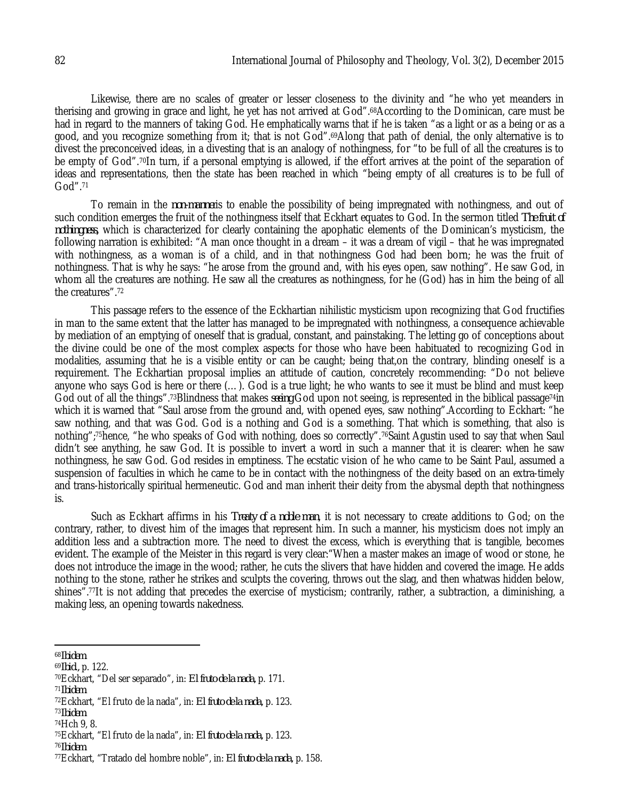Likewise, there are no scales of greater or lesser closeness to the divinity and "he who yet meanders in therising and growing in grace and light, he yet has not arrived at God".68According to the Dominican, care must be had in regard to the manners of taking God. He emphatically warns that if he is taken "as a light or as a being or as a good, and you recognize something from it; that is not God".69Along that path of denial, the only alternative is to divest the preconceived ideas, in a divesting that is an analogy of nothingness, for "to be full of all the creatures is to be empty of God".<sup>70</sup>In turn, if a personal emptying is allowed, if the effort arrives at the point of the separation of ideas and representations, then the state has been reached in which "being empty of all creatures is to be full of God".<sup>71</sup>

To remain in the *non-manner*is to enable the possibility of being impregnated with nothingness, and out of such condition emerges the fruit of the nothingness itself that Eckhart equates to God. In the sermon titled *The fruit of nothingness,* which is characterized for clearly containing the apophatic elements of the Dominican's mysticism, the following narration is exhibited: "A man once thought in a dream – it was a dream of vigil – that he was impregnated with nothingness, as a woman is of a child, and in that nothingness God had been born; he was the fruit of nothingness. That is why he says: "he arose from the ground and, with his eyes open, saw nothing". He saw God, in whom all the creatures are nothing. He saw all the creatures as nothingness, for he (God) has in him the being of all the creatures". 72

This passage refers to the essence of the Eckhartian nihilistic mysticism upon recognizing that God fructifies in man to the same extent that the latter has managed to be impregnated with nothingness, a consequence achievable by mediation of an emptying of oneself that is gradual, constant, and painstaking. The letting go of conceptions about the divine could be one of the most complex aspects for those who have been habituated to recognizing God in modalities, assuming that he is a visible entity or can be caught; being that,on the contrary, blinding oneself is a requirement. The Eckhartian proposal implies an attitude of caution, concretely recommending: "Do not believe anyone who says God is here or there (…). God is a true light; he who wants to see it must be blind and must keep God out of all the things".73Blindness that makes *seeing* God upon not seeing, is represented in the biblical passage74in which it is warned that "Saul arose from the ground and, with opened eyes, saw nothing".According to Eckhart: "he saw nothing, and that was God. God is a nothing and God is a something. That which is something, that also is nothing";75hence, "he who speaks of God with nothing, does so correctly".76Saint Agustin used to say that when Saul didn't see anything, he saw God. It is possible to invert a word in such a manner that it is clearer: when he saw nothingness, he saw God. God resides in emptiness. The ecstatic vision of he who came to be Saint Paul, assumed a suspension of faculties in which he came to be in contact with the nothingness of the deity based on an extra-timely and trans-historically spiritual hermeneutic. God and man inherit their deity from the abysmal depth that nothingness is.

Such as Eckhart affirms in his *Treaty of a noble man*, it is not necessary to create additions to God; on the contrary, rather, to divest him of the images that represent him. In such a manner, his mysticism does not imply an addition less and a subtraction more. The need to divest the excess, which is everything that is tangible, becomes evident. The example of the Meister in this regard is very clear:"When a master makes an image of wood or stone, he does not introduce the image in the wood; rather, he cuts the slivers that have hidden and covered the image. He adds nothing to the stone, rather he strikes and sculpts the covering, throws out the slag, and then whatwas hidden below, shines". <sup>77</sup>It is not adding that precedes the exercise of mysticism; contrarily, rather, a subtraction, a diminishing, a making less, an opening towards nakedness.

 $\overline{\phantom{a}}$ <sup>68</sup>*Ibidem.*

<sup>69</sup>*Ibid.,* p. 122.

<sup>70</sup>Eckhart, "Del ser separado", in: *El fruto de la nada,* p. 171.

<sup>71</sup>*Ibidem.*

<sup>72</sup>Eckhart, "El fruto de la nada", in: *El fruto de la nada,* p. 123.

<sup>73</sup>*Ibidem.*

<sup>74</sup>Hch 9, 8.

<sup>75</sup>Eckhart, "El fruto de la nada", in: *El fruto de la nada,* p. 123.

<sup>76</sup>*Ibidem.*

<sup>77</sup>Eckhart, "Tratado del hombre noble", in: *El fruto de la nada,* p. 158.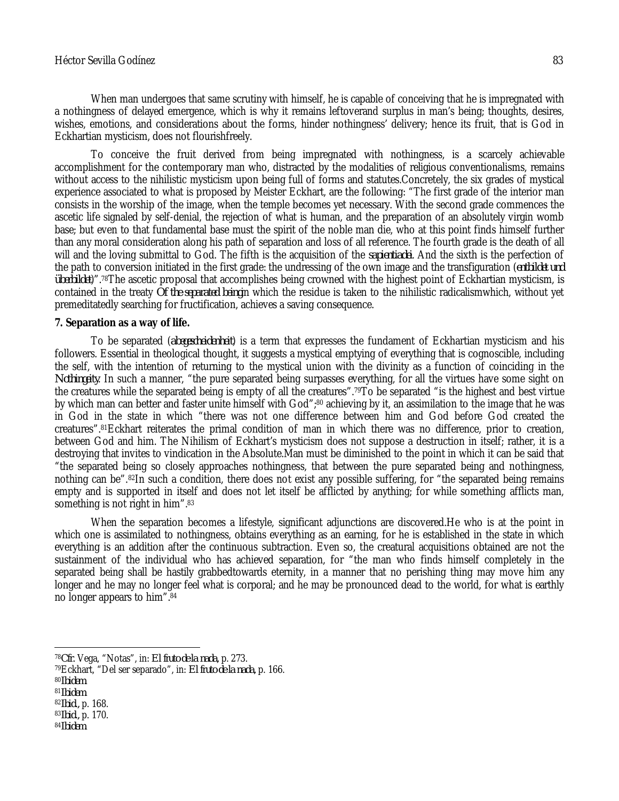When man undergoes that same scrutiny with himself, he is capable of conceiving that he is impregnated with a nothingness of delayed emergence, which is why it remains leftoverand surplus in man's being; thoughts, desires, wishes, emotions, and considerations about the forms, hinder nothingness' delivery; hence its fruit, that is God in Eckhartian mysticism, does not flourishfreely.

To conceive the fruit derived from being impregnated with nothingness, is a scarcely achievable accomplishment for the contemporary man who, distracted by the modalities of religious conventionalisms, remains without access to the nihilistic mysticism upon being full of forms and statutes.Concretely, the six grades of mystical experience associated to what is proposed by Meister Eckhart, are the following: "The first grade of the interior man consists in the worship of the image, when the temple becomes yet necessary. With the second grade commences the ascetic life signaled by self-denial, the rejection of what is human, and the preparation of an absolutely virgin womb base; but even to that fundamental base must the spirit of the noble man die, who at this point finds himself further than any moral consideration along his path of separation and loss of all reference. The fourth grade is the death of all will and the loving submittal to God. The fifth is the acquisition of the *sapientiadei*. And the sixth is the perfection of the path to conversion initiated in the first grade: the undressing of the own image and the transfiguration (*entbildet und überbildet*)". <sup>78</sup>The ascetic proposal that accomplishes being crowned with the highest point of Eckhartian mysticism, is contained in the treaty *Of the separated being*in which the residue is taken to the nihilistic radicalismwhich, without yet premeditatedly searching for fructification, achieves a saving consequence.

#### **7. Separation as a way of life.**

To be separated (*abegescheidenheit*) is a term that expresses the fundament of Eckhartian mysticism and his followers. Essential in theological thought, it suggests a mystical emptying of everything that is cognoscible, including the self, with the intention of returning to the mystical union with the divinity as a function of coinciding in the *Nothingeity*. In such a manner, "the pure separated being surpasses everything, for all the virtues have some sight on the creatures while the separated being is empty of all the creatures".79To be separated "is the highest and best virtue by which man can better and faster unite himself with God";<sup>80</sup> achieving by it, an assimilation to the image that he was in God in the state in which "there was not one difference between him and God before God created the creatures".81Eckhart reiterates the primal condition of man in which there was no difference, prior to creation, between God and him. The Nihilism of Eckhart's mysticism does not suppose a destruction in itself; rather, it is a destroying that invites to vindication in the Absolute.Man must be diminished to the point in which it can be said that "the separated being so closely approaches nothingness, that between the pure separated being and nothingness, nothing can be".82In such a condition, there does not exist any possible suffering, for "the separated being remains empty and is supported in itself and does not let itself be afflicted by anything; for while something afflicts man, something is not right in him".<sup>83</sup>

When the separation becomes a lifestyle, significant adjunctions are discovered.He who is at the point in which one is assimilated to nothingness, obtains everything as an earning, for he is established in the state in which everything is an addition after the continuous subtraction. Even so, the creatural acquisitions obtained are not the sustainment of the individual who has achieved separation, for "the man who finds himself completely in the separated being shall be hastily grabbedtowards eternity, in a manner that no perishing thing may move him any longer and he may no longer feel what is corporal; and he may be pronounced dead to the world, for what is earthly no longer appears to him".<sup>84</sup>

<sup>80</sup>*Ibidem.*

<sup>78</sup>*Cfr.* Vega, "Notas", in: *El fruto de la nada,* p. 273.

<sup>79</sup>Eckhart, "Del ser separado", in: *El fruto de la nada,* p. 166.

<sup>81</sup>*Ibidem.*

<sup>82</sup>*Ibid.,* p. 168.

<sup>83</sup>*Ibid.,* p. 170.

<sup>84</sup>*Ibidem.*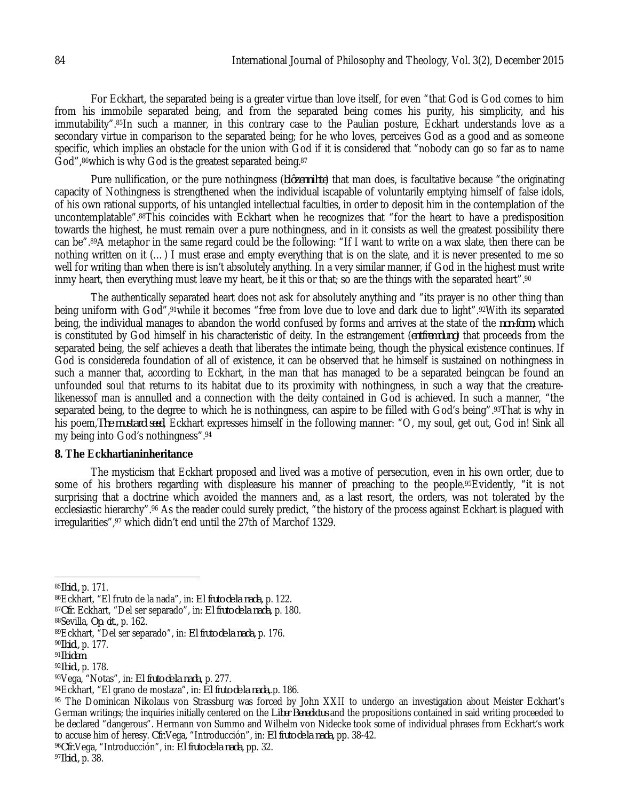For Eckhart, the separated being is a greater virtue than love itself, for even "that God is God comes to him from his immobile separated being, and from the separated being comes his purity, his simplicity, and his immutability".85In such a manner, in this contrary case to the Paulian posture, Eckhart understands love as a secondary virtue in comparison to the separated being; for he who loves, perceives God as a good and as someone specific, which implies an obstacle for the union with God if it is considered that "nobody can go so far as to name God",<sup>86</sup>which is why God is the greatest separated being.<sup>87</sup>

Pure nullification, or the pure nothingness (*blôzennihte*) that man does, is facultative because "the originating capacity of Nothingness is strengthened when the individual iscapable of voluntarily emptying himself of false idols, of his own rational supports, of his untangled intellectual faculties, in order to deposit him in the contemplation of the uncontemplatable".88This coincides with Eckhart when he recognizes that "for the heart to have a predisposition towards the highest, he must remain over a pure nothingness, and in it consists as well the greatest possibility there can be".89A metaphor in the same regard could be the following: "If I want to write on a wax slate, then there can be nothing written on it (…) I must erase and empty everything that is on the slate, and it is never presented to me so well for writing than when there is isn't absolutely anything. In a very similar manner, if God in the highest must write inmy heart, then everything must leave my heart, be it this or that; so are the things with the separated heart". 90

The authentically separated heart does not ask for absolutely anything and "its prayer is no other thing than being uniform with God",91while it becomes "free from love due to love and dark due to light".92With its separated being, the individual manages to abandon the world confused by forms and arrives at the state of the *non-form*, which is constituted by God himself in his characteristic of deity. In the estrangement (*entfremdung*) that proceeds from the separated being, the self achieves a death that liberates the intimate being, though the physical existence continues. If God is considereda foundation of all of existence, it can be observed that he himself is sustained on nothingness in such a manner that, according to Eckhart, in the man that has managed to be a separated beingcan be found an unfounded soul that returns to its habitat due to its proximity with nothingness, in such a way that the creaturelikenessof man is annulled and a connection with the deity contained in God is achieved. In such a manner, "the separated being, to the degree to which he is nothingness, can aspire to be filled with God's being". <sup>93</sup>That is why in his poem,*The mustard seed*, Eckhart expresses himself in the following manner: "O, my soul, get out, God in! Sink all my being into God's nothingness".<sup>94</sup>

#### **8. The Eckhartianinheritance**

The mysticism that Eckhart proposed and lived was a motive of persecution, even in his own order, due to some of his brothers regarding with displeasure his manner of preaching to the people.<sup>95</sup>Evidently, "it is not surprising that a doctrine which avoided the manners and, as a last resort, the orders, was not tolerated by the ecclesiastic hierarchy".<sup>96</sup> As the reader could surely predict, "the history of the process against Eckhart is plagued with irregularities",<sup>97</sup> which didn't end until the 27th of Marchof 1329.

 $\overline{a}$ 

<sup>93</sup>Vega, "Notas", in: *El fruto de la nada,* p. 277.

<sup>85</sup>*Ibid.,* p. 171.

<sup>86</sup>Eckhart, "El fruto de la nada", in: *El fruto de la nada,* p. 122.

<sup>87</sup>*Cfr.* Eckhart, "Del ser separado", in: *El fruto de la nada,* p. 180.

<sup>88</sup>Sevilla, *Op. cit.,* p. 162.

<sup>89</sup>Eckhart, "Del ser separado", in: *El fruto de la nada,* p. 176.

<sup>90</sup>*Ibid.,* p. 177.

<sup>91</sup>*Ibidem.*

<sup>92</sup>*Ibid.,* p. 178.

<sup>94</sup>Eckhart, "El grano de mostaza", in: *El fruto de la nada,*.p. 186.

<sup>95</sup> The Dominican Nikolaus von Strassburg was forced by John XXII to undergo an investigation about Meister Eckhart's German writings; the inquiries initially centered on the *Liber Benedictus* and the propositions contained in said writing proceeded to be declared "dangerous". Hermann von Summo and Wilhelm von Nidecke took some of individual phrases from Eckhart's work to accuse him of heresy. *Cfr.*Vega, "Introducción", in: *El fruto de la nada,* pp. 38-42.

<sup>96</sup>*Cfr.*Vega, "Introducción", in: *El fruto de la nada,* pp. 32.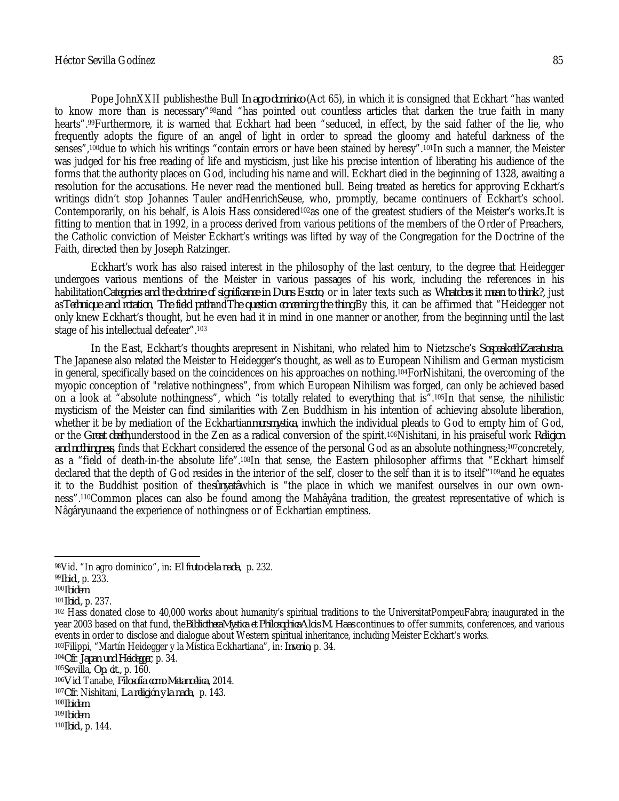Pope JohnXXII publishesthe Bull *In agro dominico* (Act 65), in which it is consigned that Eckhart "has wanted to know more than is necessary"98and "has pointed out countless articles that darken the true faith in many hearts".99Furthermore, it is warned that Eckhart had been "seduced, in effect, by the said father of the lie, who frequently adopts the figure of an angel of light in order to spread the gloomy and hateful darkness of the senses",100due to which his writings "contain errors or have been stained by heresy".101In such a manner, the Meister was judged for his free reading of life and mysticism, just like his precise intention of liberating his audience of the forms that the authority places on God, including his name and will. Eckhart died in the beginning of 1328, awaiting a resolution for the accusations. He never read the mentioned bull. Being treated as heretics for approving Eckhart's writings didn't stop Johannes Tauler and Henrich Seuse, who, promptly, became continuers of Eckhart's school. Contemporarily, on his behalf, is Alois Hass considered<sup>102</sup>as one of the greatest studiers of the Meister's works.It is fitting to mention that in 1992, in a process derived from various petitions of the members of the Order of Preachers, the Catholic conviction of Meister Eckhart's writings was lifted by way of the Congregation for the Doctrine of the Faith, directed then by Joseph Ratzinger.

Eckhart's work has also raised interest in the philosophy of the last century, to the degree that Heidegger undergoes various mentions of the Meister in various passages of his work, including the references in his habilitation*Categories and the doctrine of significance in Duns Escoto*, or in later texts such as *Whatdoes it mean to think?,* just as*Technique and rotation*, *The field path*and*The question concerning the thing.*By this, it can be affirmed that "Heidegger not only knew Eckhart's thought, but he even had it in mind in one manner or another, from the beginning until the last stage of his intellectual defeater".<sup>103</sup>

In the East, Eckhart's thoughts arepresent in Nishitani, who related him to Nietzsche's *SospeakethZaratustra*. The Japanese also related the Meister to Heidegger's thought, as well as to European Nihilism and German mysticism in general, specifically based on the coincidences on his approaches on nothing.104ForNishitani, the overcoming of the myopic conception of "relative nothingness", from which European Nihilism was forged, can only be achieved based on a look at "absolute nothingness", which "is totally related to everything that is".105In that sense, the nihilistic mysticism of the Meister can find similarities with Zen Buddhism in his intention of achieving absolute liberation, whether it be by mediation of the Eckhartian*morsmystica*, inwhich the individual pleads to God to empty him of God, or the *Great death*,understood in the Zen as a radical conversion of the spirit.106Nishitani, in his praiseful work *Religion and nothingness*, finds that Eckhart considered the essence of the personal God as an absolute nothingness;107concretely, as a "field of death-in-the absolute life".108In that sense, the Eastern philosopher affirms that "Eckhart himself declared that the depth of God resides in the interior of the self, closer to the self than it is to itself"109and he equates it to the Buddhist position of the*sûnyatâ*which is "the place in which we manifest ourselves in our own ownness".110Common places can also be found among the Mahâyâna tradition, the greatest representative of which is Nâgâryunaand the experience of nothingness or of Eckhartian emptiness.

<sup>104</sup>*Cfr*. *Japan und Heidegger*, p. 34.

 $\overline{a}$ <sup>98</sup>Vid. "In agro dominico", in: *El fruto de la nada,* p. 232.

<sup>99</sup>*Ibid.,* p. 233.

<sup>100</sup>*Ibidem.*

<sup>101</sup>*Ibid.,* p. 237.

<sup>102</sup> Hass donated close to 40,000 works about humanity's spiritual traditions to the UniversitatPompeuFabra; inaugurated in the year 2003 based on that fund, the*BibliothecaMystica et PhilosophicaAlois M. Haas* continues to offer summits, conferences, and various events in order to disclose and dialogue about Western spiritual inheritance, including Meister Eckhart's works. <sup>103</sup>Filippi, "Martín Heidegger y la Mística Eckhartiana", in: *Invenio*, p. 34.

<sup>105</sup>Sevilla, *Op. cit.,* p. 160.

<sup>106</sup>*Vid*. Tanabe, *Filosofía como Metanoética,* 2014.

<sup>107</sup>*Cfr.* Nishitani, *La religión y la nada,* p. 143.

<sup>108</sup>*Ibidem.*

<sup>109</sup>*Ibidem.*

<sup>110</sup>*Ibid.,* p. 144.